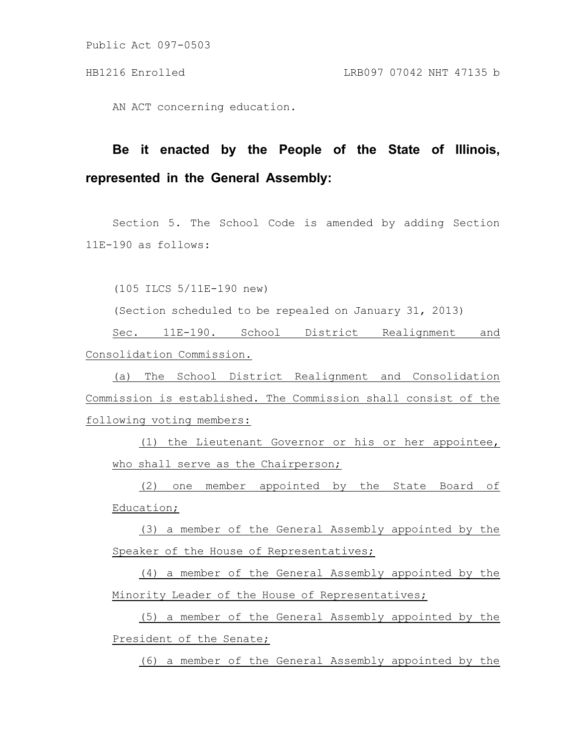Public Act 097-0503

AN ACT concerning education.

## **Be it enacted by the People of the State of Illinois, represented in the General Assembly:**

Section 5. The School Code is amended by adding Section 11E-190 as follows:

(105 ILCS 5/11E-190 new)

(Section scheduled to be repealed on January 31, 2013)

Sec. 11E-190. School District Realignment and Consolidation Commission.

(a) The School District Realignment and Consolidation Commission is established. The Commission shall consist of the following voting members:

(1) the Lieutenant Governor or his or her appointee, who shall serve as the Chairperson;

(2) one member appointed by the State Board of Education;

(3) a member of the General Assembly appointed by the Speaker of the House of Representatives;

(4) a member of the General Assembly appointed by the Minority Leader of the House of Representatives;

(5) a member of the General Assembly appointed by the President of the Senate;

(6) a member of the General Assembly appointed by the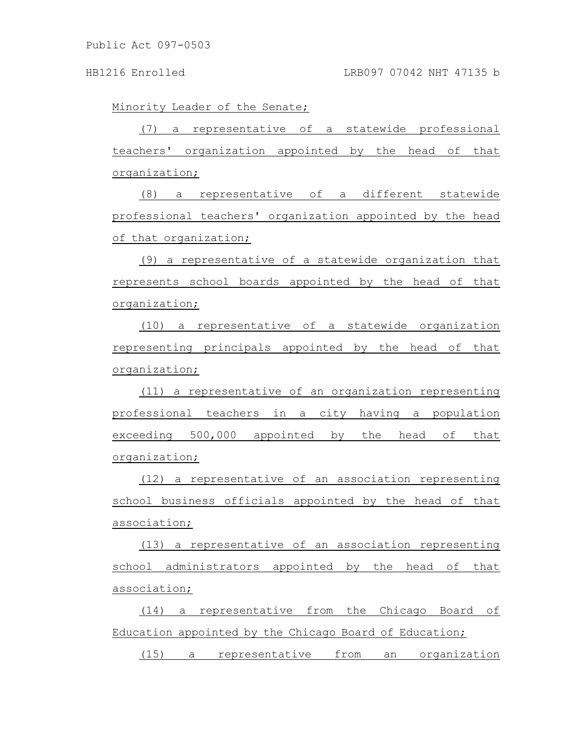Minority Leader of the Senate;

(7) a representative of a statewide professional teachers' organization appointed by the head of that organization;

(8) a representative of a different statewide professional teachers' organization appointed by the head of that organization;

(9) a representative of a statewide organization that represents school boards appointed by the head of that organization;

(10) a representative of a statewide organization representing principals appointed by the head of that organization;

(11) a representative of an organization representing professional teachers in a city having a population exceeding 500,000 appointed by the head of that organization;

(12) a representative of an association representing school business officials appointed by the head of that association;

(13) a representative of an association representing school administrators appointed by the head of that association;

(14) a representative from the Chicago Board of Education appointed by the Chicago Board of Education;

(15) a representative from an organization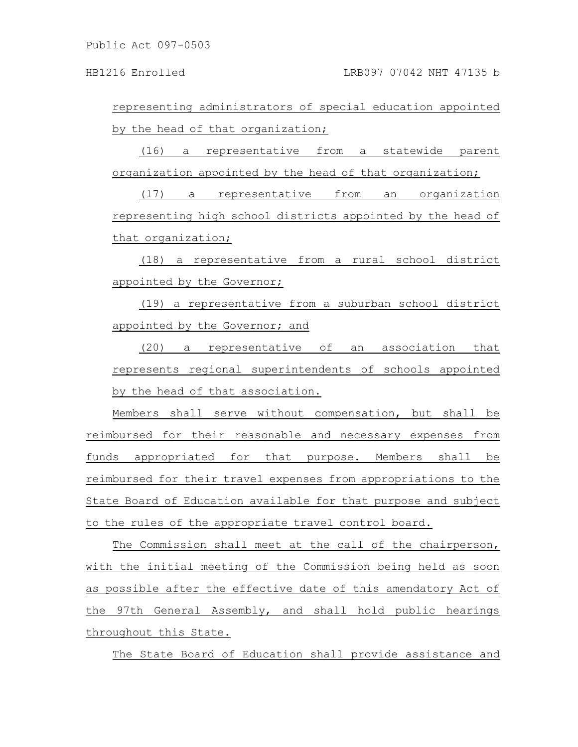representing administrators of special education appointed by the head of that organization;

(16) a representative from a statewide parent organization appointed by the head of that organization;

(17) a representative from an organization representing high school districts appointed by the head of that organization;

(18) a representative from a rural school district appointed by the Governor;

(19) a representative from a suburban school district appointed by the Governor; and

(20) a representative of an association that represents regional superintendents of schools appointed by the head of that association.

Members shall serve without compensation, but shall be reimbursed for their reasonable and necessary expenses from funds appropriated for that purpose. Members shall be reimbursed for their travel expenses from appropriations to the State Board of Education available for that purpose and subject to the rules of the appropriate travel control board.

The Commission shall meet at the call of the chairperson, with the initial meeting of the Commission being held as soon as possible after the effective date of this amendatory Act of the 97th General Assembly, and shall hold public hearings throughout this State.

The State Board of Education shall provide assistance and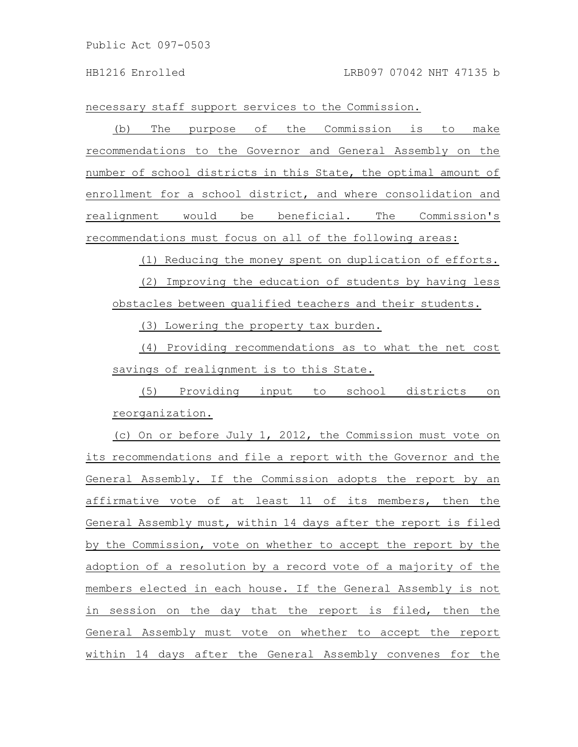necessary staff support services to the Commission.

(b) The purpose of the Commission is to make recommendations to the Governor and General Assembly on the number of school districts in this State, the optimal amount of enrollment for a school district, and where consolidation and realignment would be beneficial. The Commission's recommendations must focus on all of the following areas:

(1) Reducing the money spent on duplication of efforts.

(2) Improving the education of students by having less obstacles between qualified teachers and their students.

(3) Lowering the property tax burden.

(4) Providing recommendations as to what the net cost savings of realignment is to this State.

(5) Providing input to school districts on reorganization.

(c) On or before July 1, 2012, the Commission must vote on its recommendations and file a report with the Governor and the General Assembly. If the Commission adopts the report by an affirmative vote of at least 11 of its members, then the General Assembly must, within 14 days after the report is filed by the Commission, vote on whether to accept the report by the adoption of a resolution by a record vote of a majority of the members elected in each house. If the General Assembly is not in session on the day that the report is filed, then the General Assembly must vote on whether to accept the report within 14 days after the General Assembly convenes for the